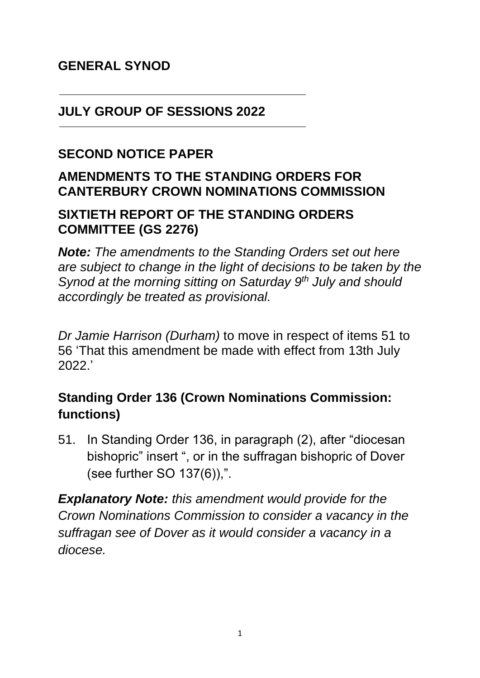### **GENERAL SYNOD**

#### **JULY GROUP OF SESSIONS 2022**

#### **SECOND NOTICE PAPER**

### **AMENDMENTS TO THE STANDING ORDERS FOR CANTERBURY CROWN NOMINATIONS COMMISSION**

#### **SIXTIETH REPORT OF THE STANDING ORDERS COMMITTEE (GS 2276)**

*Note: The amendments to the Standing Orders set out here are subject to change in the light of decisions to be taken by the Synod at the morning sitting on Saturday 9th July and should accordingly be treated as provisional.*

*Dr Jamie Harrison (Durham)* to move in respect of items 51 to 56 'That this amendment be made with effect from 13th July 2022.'

## **Standing Order 136 (Crown Nominations Commission: functions)**

51. In Standing Order 136, in paragraph (2), after "diocesan bishopric" insert ", or in the suffragan bishopric of Dover (see further SO 137(6)),".

*Explanatory Note: this amendment would provide for the Crown Nominations Commission to consider a vacancy in the suffragan see of Dover as it would consider a vacancy in a diocese.*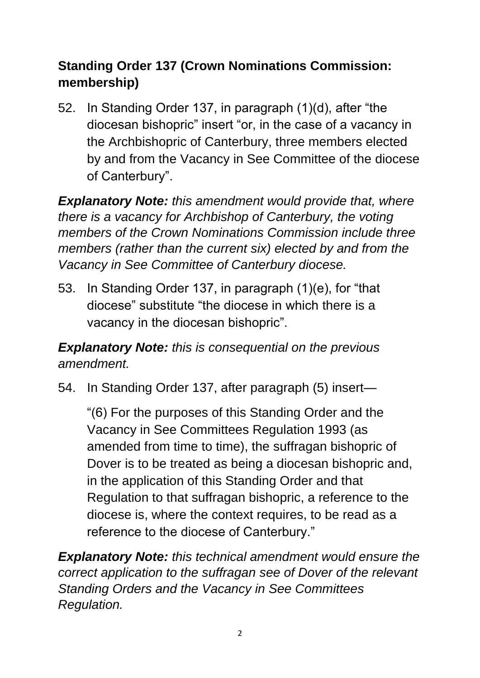# **Standing Order 137 (Crown Nominations Commission: membership)**

52. In Standing Order 137, in paragraph (1)(d), after "the diocesan bishopric" insert "or, in the case of a vacancy in the Archbishopric of Canterbury, three members elected by and from the Vacancy in See Committee of the diocese of Canterbury".

*Explanatory Note: this amendment would provide that, where there is a vacancy for Archbishop of Canterbury, the voting members of the Crown Nominations Commission include three members (rather than the current six) elected by and from the Vacancy in See Committee of Canterbury diocese.*

53. In Standing Order 137, in paragraph (1)(e), for "that diocese" substitute "the diocese in which there is a vacancy in the diocesan bishopric".

*Explanatory Note: this is consequential on the previous amendment.*

54. In Standing Order 137, after paragraph (5) insert—

"(6) For the purposes of this Standing Order and the Vacancy in See Committees Regulation 1993 (as amended from time to time), the suffragan bishopric of Dover is to be treated as being a diocesan bishopric and, in the application of this Standing Order and that Regulation to that suffragan bishopric, a reference to the diocese is, where the context requires, to be read as a reference to the diocese of Canterbury."

*Explanatory Note: this technical amendment would ensure the correct application to the suffragan see of Dover of the relevant Standing Orders and the Vacancy in See Committees Regulation.*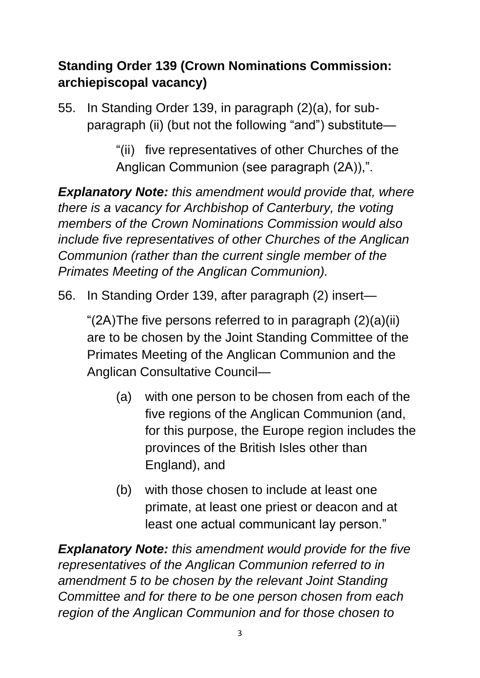# **Standing Order 139 (Crown Nominations Commission: archiepiscopal vacancy)**

55. In Standing Order 139, in paragraph (2)(a), for subparagraph (ii) (but not the following "and") substitute—

> "(ii) five representatives of other Churches of the Anglican Communion (see paragraph (2A)),".

*Explanatory Note: this amendment would provide that, where there is a vacancy for Archbishop of Canterbury, the voting members of the Crown Nominations Commission would also include five representatives of other Churches of the Anglican Communion (rather than the current single member of the Primates Meeting of the Anglican Communion).*

56. In Standing Order 139, after paragraph (2) insert—

"(2A)The five persons referred to in paragraph (2)(a)(ii) are to be chosen by the Joint Standing Committee of the Primates Meeting of the Anglican Communion and the Anglican Consultative Council—

- (a) with one person to be chosen from each of the five regions of the Anglican Communion (and, for this purpose, the Europe region includes the provinces of the British Isles other than England), and
- (b) with those chosen to include at least one primate, at least one priest or deacon and at least one actual communicant lay person."

*Explanatory Note: this amendment would provide for the five representatives of the Anglican Communion referred to in amendment 5 to be chosen by the relevant Joint Standing Committee and for there to be one person chosen from each region of the Anglican Communion and for those chosen to*